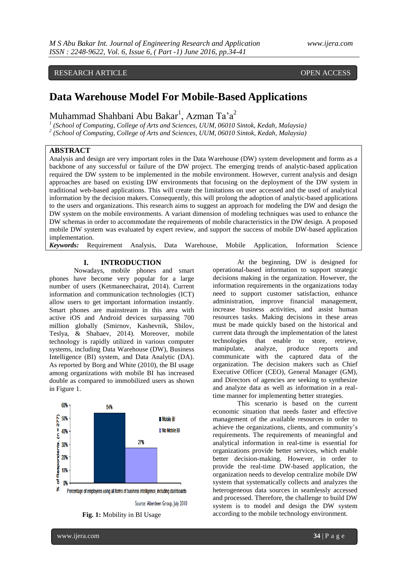# RESEARCH ARTICLE **CONTRACT ARTICLE**

# **Data Warehouse Model For Mobile-Based Applications**

Muhammad Shahbani Abu Bakar<sup>1</sup>, Azman Ta'a<sup>2</sup>

*1 (School of Computing, College of Arts and Sciences, UUM, 06010 Sintok, Kedah, Malaysia)*

*2 (School of Computing, College of Arts and Sciences, UUM, 06010 Sintok, Kedah, Malaysia)*

# **ABSTRACT**

Analysis and design are very important roles in the Data Warehouse (DW) system development and forms as a backbone of any successful or failure of the DW project. The emerging trends of analytic-based application required the DW system to be implemented in the mobile environment. However, current analysis and design approaches are based on existing DW environments that focusing on the deployment of the DW system in traditional web-based applications. This will create the limitations on user accessed and the used of analytical information by the decision makers. Consequently, this will prolong the adoption of analytic-based applications to the users and organizations. This research aims to suggest an approach for modeling the DW and design the DW system on the mobile environments. A variant dimension of modeling techniques was used to enhance the DW schemas in order to accommodate the requirements of mobile characteristics in the DW design. A proposed mobile DW system was evaluated by expert review, and support the success of mobile DW-based application implementation.

*Keywords:* Requirement Analysis, Data Warehouse, Mobile Application, Information Science

#### **I. INTRODUCTION**

Nowadays, mobile phones and smart phones have become very popular for a large number of users (Ketmaneechairat, 2014). Current information and communication technologies (ICT) allow users to get important information instantly. Smart phones are mainstream in this area with active iOS and Android devices surpassing 700 million globally (Smirnov, Kashevnik, Shilov, Teslya, & Shabaev, 2014). Moreover, mobile technology is rapidly utilized in various computer systems, including Data Warehouse (DW), Business Intelligence (BI) system, and Data Analytic (DA). As reported by Borg and White (2010), the BI usage among organizations with mobile BI has increased double as compared to immobilized users as shown in Figure 1.



Source: Aberdeen Group, July 2010

At the beginning, DW is designed for operational-based information to support strategic decisions making in the organization. However, the information requirements in the organizations today need to support customer satisfaction, enhance administration, improve financial management, increase business activities, and assist human resources tasks. Making decisions in these areas must be made quickly based on the historical and current data through the implementation of the latest technologies that enable to store, retrieve, manipulate, analyze, produce reports and communicate with the captured data of the organization. The decision makers such as Chief Executive Officer (CEO), General Manager (GM), and Directors of agencies are seeking to synthesize and analyze data as well as information in a realtime manner for implementing better strategies.

This scenario is based on the current economic situation that needs faster and effective management of the available resources in order to achieve the organizations, clients, and community's requirements. The requirements of meaningful and analytical information in real-time is essential for organizations provide better services, which enable better decision-making. However, in order to provide the real-time DW-based application, the organization needs to develop centralize mobile DW system that systematically collects and analyzes the heterogeneous data sources in seamlessly accessed and processed. Therefore, the challenge to build DW system is to model and design the DW system according to the mobile technology environment.

**Fig. 1:** Mobility in BI Usage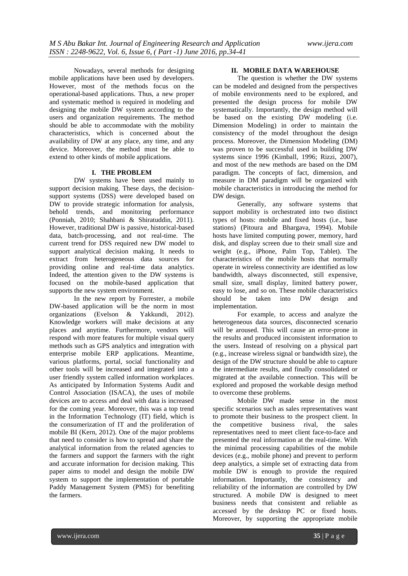Nowadays, several methods for designing mobile applications have been used by developers. However, most of the methods focus on the operational-based applications. Thus, a new proper and systematic method is required in modeling and designing the mobile DW system according to the users and organization requirements. The method should be able to accommodate with the mobility characteristics, which is concerned about the availability of DW at any place, any time, and any device. Moreover, the method must be able to extend to other kinds of mobile applications.

#### **I. THE PROBLEM**

DW systems have been used mainly to support decision making. These days, the decisionsupport systems (DSS) were developed based on DW to provide strategic information for analysis, behold trends, and monitoring performance (Ponniah, 2010; Shahbani & Shiratuddin, 2011). However, traditional DW is passive, historical-based data, batch-processing, and not real-time. The current trend for DSS required new DW model to support analytical decision making. It needs to extract from heterogeneous data sources for providing online and real-time data analytics. Indeed, the attention given to the DW systems is focused on the mobile-based application that supports the new system environment.

In the new report by Forrester, a mobile DW-based application will be the norm in most organizations (Evelson & Yakkundi, 2012). Knowledge workers will make decisions at any places and anytime. Furthermore, vendors will respond with more features for multiple visual query methods such as GPS analytics and integration with enterprise mobile ERP applications. Meantime, various platforms, portal, social functionality and other tools will be increased and integrated into a user friendly system called information workplaces. As anticipated by Information Systems Audit and Control Association (ISACA), the uses of mobile devices are to access and deal with data is increased for the coming year. Moreover, this was a top trend in the Information Technology (IT) field, which is the consumerization of IT and the proliferation of mobile BI (Kern, 2012). One of the major problems that need to consider is how to spread and share the analytical information from the related agencies to the farmers and support the farmers with the right and accurate information for decision making. This paper aims to model and design the mobile DW system to support the implementation of portable Paddy Management System (PMS) for benefiting the farmers.

### **II. MOBILE DATA WAREHOUSE**

The question is whether the DW systems can be modeled and designed from the perspectives of mobile environments need to be explored, and presented the design process for mobile DW systematically. Importantly, the design method will be based on the existing DW modeling (i.e. Dimension Modeling) in order to maintain the consistency of the model throughout the design process. Moreover, the Dimension Modeling (DM) was proven to be successful used in building DW systems since 1996 (Kimball, 1996; Rizzi, 2007), and most of the new methods are based on the DM paradigm. The concepts of fact, dimension, and measure in DM paradigm will be organized with mobile characteristics in introducing the method for DW design.

Generally, any software systems that support mobility is orchestrated into two distinct types of hosts: mobile and fixed hosts (i.e., base stations) (Pitoura and Bhargava, 1994). Mobile hosts have limited computing power, memory, hard disk, and display screen due to their small size and weight (e.g., iPhone, Palm Top, Tablet). The characteristics of the mobile hosts that normally operate in wireless connectivity are identified as low bandwidth, always disconnected, still expensive, small size, small display, limited battery power, easy to lose, and so on. These mobile characteristics should be taken into DW design and implementation.

For example, to access and analyze the heterogeneous data sources, disconnected scenario will be aroused. This will cause an error-prone in the results and produced inconsistent information to the users. Instead of resolving on a physical part (e.g., increase wireless signal or bandwidth size), the design of the DW structure should be able to capture the intermediate results, and finally consolidated or migrated at the available connection. This will be explored and proposed the workable design method to overcome these problems.

Mobile DW made sense in the most specific scenarios such as sales representatives want to promote their business to the prospect client. In the competitive business rival, the sales representatives need to meet client face-to-face and presented the real information at the real-time. With the minimal processing capabilities of the mobile devices (e.g., mobile phone) and prevent to perform deep analytics, a simple set of extracting data from mobile DW is enough to provide the required information. Importantly, the consistency and reliability of the information are controlled by DW structured. A mobile DW is designed to meet business needs that consistent and reliable as accessed by the desktop PC or fixed hosts. Moreover, by supporting the appropriate mobile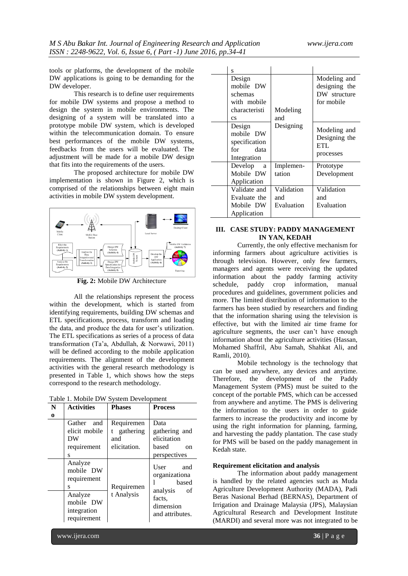tools or platforms, the development of the mobile DW applications is going to be demanding for the DW developer.

This research is to define user requirements for mobile DW systems and propose a method to design the system in mobile environments. The designing of a system will be translated into a prototype mobile DW system, which is developed within the telecommunication domain. To ensure best performances of the mobile DW systems, feedbacks from the users will be evaluated. The adjustment will be made for a mobile DW design that fits into the requirements of the users.

The proposed architecture for mobile DW implementation is shown in Figure 2, which is comprised of the relationships between eight main activities in mobile DW system development.



**Fig. 2:** Mobile DW Architecture

All the relationships represent the process within the development, which is started from identifying requirements, building DW schemas and ETL specifications, process, transform and loading the data, and produce the data for user's utilization. The ETL specifications as series of a process of data transformation (Ta'a, Abdullah, & Norwawi, 2011) will be defined according to the mobile application requirements. The alignment of the development activities with the general research methodology is presented in Table 1, which shows how the steps correspond to the research methodology.

| Table 1. Mobile DW System Development |  |  |
|---------------------------------------|--|--|
|                                       |  |  |

| N<br>0 | <b>Activities</b>                                                                              | <b>Phases</b>                                  | <b>Process</b>                                                                                 |
|--------|------------------------------------------------------------------------------------------------|------------------------------------------------|------------------------------------------------------------------------------------------------|
|        | Gather and<br>elicit mobile<br>DW<br>requirement<br>S                                          | Requiremen<br>gathering<br>and<br>elicitation. | Data<br>gathering and<br>elicitation<br>based<br><sub>on</sub><br>perspectives                 |
|        | Analyze<br>mobile DW<br>requirement<br>S<br>Analyze<br>mobile DW<br>integration<br>requirement | Requiremen<br>t Analysis                       | User<br>and<br>organizationa<br>based<br>analysis of<br>facts,<br>dimension<br>and attributes. |

| S                                                                                        |                                 |                                                             |
|------------------------------------------------------------------------------------------|---------------------------------|-------------------------------------------------------------|
| Design<br>mobile DW<br>schemas<br>with mobile<br>characteristi<br>$\mathbf{c}\mathbf{s}$ | Modeling<br>and                 | Modeling and<br>designing the<br>DW structure<br>for mobile |
| Design<br>mobile DW<br>specification<br>for data<br>Integration                          | Designing                       | Modeling and<br>Designing the<br><b>ETL</b><br>processes    |
| Develop<br><sub>a</sub><br>Mobile DW<br>Application                                      | Implemen-<br>tation             | Prototype<br>Development                                    |
| Validate and<br>Evaluate the<br>Mobile DW<br>Application                                 | Validation<br>and<br>Evaluation | Validation<br>and<br>Evaluation                             |

# **III. CASE STUDY: PADDY MANAGEMENT IN YAN, KEDAH**

Currently, the only effective mechanism for informing farmers about agriculture activities is through television. However, only few farmers, managers and agents were receiving the updated information about the paddy farming activity schedule, paddy crop information, manual procedures and guidelines, government policies and more. The limited distribution of information to the farmers has been studied by researchers and finding that the information sharing using the television is effective, but with the limited air time frame for agriculture segments, the user can't have enough information about the agriculture activities (Hassan, Mohamed Shaffril, Abu Samah, Shahkat Ali, and Ramli, 2010).

Mobile technology is the technology that can be used anywhere, any devices and anytime. Therefore, the development of the Paddy Management System (PMS) must be suited to the concept of the portable PMS, which can be accessed from anywhere and anytime. The PMS is delivering the information to the users in order to guide farmers to increase the productivity and income by using the right information for planning, farming, and harvesting the paddy plantation. The case study for PMS will be based on the paddy management in Kedah state.

#### **Requirement elicitation and analysis**

The information about paddy management is handled by the related agencies such as Muda Agriculture Development Authority (MADA), Padi Beras Nasional Berhad (BERNAS), Department of Irrigation and Drainage Malaysia (JPS), Malaysian Agricultural Research and Development Institute (MARDI) and several more was not integrated to be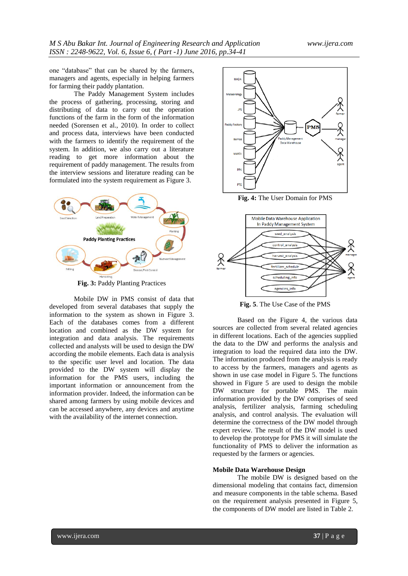one "database" that can be shared by the farmers, managers and agents, especially in helping farmers for farming their paddy plantation.

The Paddy Management System includes the process of gathering, processing, storing and distributing of data to carry out the operation functions of the farm in the form of the information needed (Sorensen et al., 2010). In order to collect and process data, interviews have been conducted with the farmers to identify the requirement of the system. In addition, we also carry out a literature reading to get more information about the requirement of paddy management. The results from the interview sessions and literature reading can be formulated into the system requirement as Figure 3.



**Fig. 3:** Paddy Planting Practices

Mobile DW in PMS consist of data that developed from several databases that supply the information to the system as shown in Figure 3. Each of the databases comes from a different location and combined as the DW system for integration and data analysis. The requirements collected and analysts will be used to design the DW according the mobile elements. Each data is analysis to the specific user level and location. The data provided to the DW system will display the information for the PMS users, including the important information or announcement from the information provider. Indeed, the information can be shared among farmers by using mobile devices and can be accessed anywhere, any devices and anytime with the availability of the internet connection.



**Fig. 4:** The User Domain for PMS



**Fig. 5**. The Use Case of the PMS

Based on the Figure 4, the various data sources are collected from several related agencies in different locations. Each of the agencies supplied the data to the DW and performs the analysis and integration to load the required data into the DW. The information produced from the analysis is ready to access by the farmers, managers and agents as shown in use case model in Figure 5. The functions showed in Figure 5 are used to design the mobile DW structure for portable PMS. The main information provided by the DW comprises of seed analysis, fertilizer analysis, farming scheduling analysis, and control analysis. The evaluation will determine the correctness of the DW model through expert review. The result of the DW model is used to develop the prototype for PMS it will simulate the functionality of PMS to deliver the information as requested by the farmers or agencies.

#### **Mobile Data Warehouse Design**

The mobile DW is designed based on the dimensional modeling that contains fact, dimension and measure components in the table schema. Based on the requirement analysis presented in Figure 5, the components of DW model are listed in Table 2.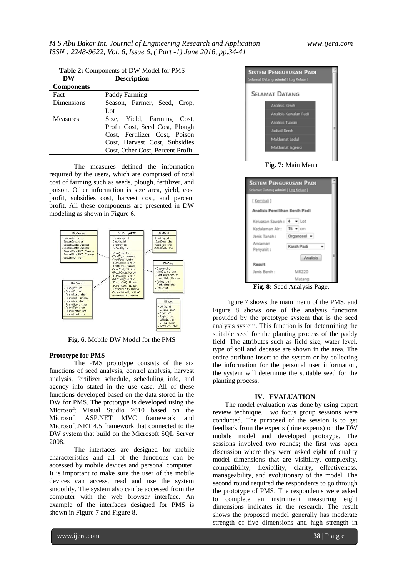| <b>Table 2:</b> Components of DW Model for PMS |                                                                                                                                                                    |  |  |
|------------------------------------------------|--------------------------------------------------------------------------------------------------------------------------------------------------------------------|--|--|
| DW                                             | <b>Description</b>                                                                                                                                                 |  |  |
| <b>Components</b>                              |                                                                                                                                                                    |  |  |
| Fact                                           | Paddy Farming                                                                                                                                                      |  |  |
| <b>Dimensions</b>                              | Season, Farmer, Seed, Crop,<br>Lot                                                                                                                                 |  |  |
| Measures                                       | Size, Yield, Farming Cost,<br>Profit Cost, Seed Cost, Plough<br>Cost, Fertilizer Cost, Poison<br>Cost, Harvest Cost, Subsidies<br>Cost, Other Cost, Percent Profit |  |  |

The measures defined the information required by the users, which are comprised of total cost of farming such as seeds, plough, fertilizer, and poison. Other information is size area, yield, cost profit, subsidies cost, harvest cost, and percent profit. All these components are presented in DW modeling as shown in Figure 6.



**Fig. 6.** Mobile DW Model for the PMS

## **Prototype for PMS**

The PMS prototype consists of the six functions of seed analysis, control analysis, harvest analysis, fertilizer schedule, scheduling info, and agency info stated in the use case. All of these functions developed based on the data stored in the DW for PMS. The prototype is developed using the Microsoft Visual Studio 2010 based on the Microsoft ASP.NET MVC framework and Microsoft.NET 4.5 framework that connected to the DW system that build on the Microsoft SQL Server 2008.

The interfaces are designed for mobile characteristics and all of the functions can be accessed by mobile devices and personal computer. It is important to make sure the user of the mobile devices can access, read and use the system smoothly. The system also can be accessed from the computer with the web browser interface. An example of the interfaces designed for PMS is shown in Figure 7 and Figure 8.



**Fig. 7:** Main Menu

| <b>SISTEM PENGURUSAN PADI</b><br>Selamat Datang admin! [ Log Keluar ] |                            |
|-----------------------------------------------------------------------|----------------------------|
| [ Kembali ]                                                           |                            |
| Analisis Pemilihan Benih Padi                                         |                            |
| Keluasan Sawah: 4 - Lot                                               |                            |
| Kedalaman Air:                                                        | $15 - cm$                  |
| Jenis Tanah:                                                          | Organosol =                |
| Ancaman<br>Penyakit:                                                  | Karah Padi                 |
|                                                                       | Analisis                   |
| Result                                                                |                            |
| Jenis Benih:                                                          | MR220                      |
|                                                                       | Matang                     |
|                                                                       | Fig. 8: Sood Applysis Dogo |

**Fig. 8:** Seed Analysis Page.

Figure 7 shows the main menu of the PMS, and Figure 8 shows one of the analysis functions provided by the prototype system that is the seed analysis system. This function is for determining the suitable seed for the planting process of the paddy field. The attributes such as field size, water level, type of soil and decease are shown in the area. The entire attribute insert to the system or by collecting the information for the personal user information, the system will determine the suitable seed for the planting process.

#### **IV. EVALUATION**

The model evaluation was done by using expert review technique. Two focus group sessions were conducted. The purposed of the session is to get feedback from the experts (nine experts) on the DW mobile model and developed prototype. The sessions involved two rounds; the first was open discussion where they were asked eight of quality model dimensions that are visibility, complexity, compatibility, flexibility, clarity, effectiveness, manageability, and evolutionary of the model. The second round required the respondents to go through the prototype of PMS. The respondents were asked to complete an instrument measuring eight dimensions indicates in the research. The result shows the proposed model generally has moderate strength of five dimensions and high strength in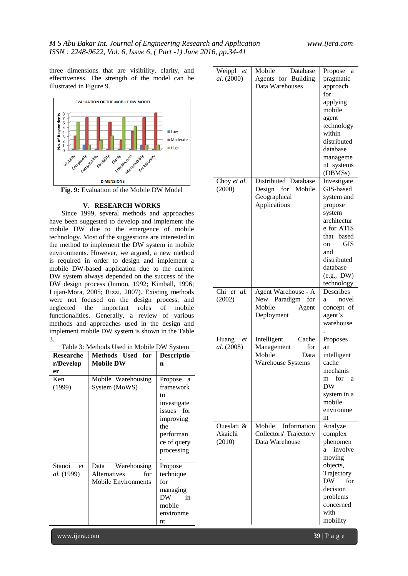three dimensions that are visibility, clarity, and effectiveness. The strength of the model can be illustrated in Figure 9.



#### **V. RESEARCH WORKS**

Since 1999, several methods and approaches have been suggested to develop and implement the mobile DW due to the emergence of mobile technology. Most of the suggestions are interested in the method to implement the DW system in mobile environments. However, we argued, a new method is required in order to design and implement a mobile DW-based application due to the current DW system always depended on the success of the DW design process (Inmon, 1992; Kimball, 1996; Lujan-Mora, 2005; Rizzi, 2007). Existing methods were not focused on the design process, and neglected the important roles of mobile functionalities. Generally, a review of various methods and approaches used in the design and implement mobile DW system is shown in the Table 3.

|  | Table 3: Methods Used in Mobile DW System |  |
|--|-------------------------------------------|--|
|--|-------------------------------------------|--|

|                   | Table 3: Methods Used in Mobile DW System |                   | <i>al.</i> (2008) | Management           |
|-------------------|-------------------------------------------|-------------------|-------------------|----------------------|
| <b>Researche</b>  | Methods Used for                          | <b>Descriptio</b> |                   | Mobile<br>D.         |
| r/Develop         | <b>Mobile DW</b>                          | $\mathbf n$       |                   | Warehouse System     |
| er                |                                           |                   |                   |                      |
| Ken               | Mobile Warehousing                        | Propose a         |                   |                      |
| (1999)            | System (MoWS)                             | framework         |                   |                      |
|                   |                                           | to                |                   |                      |
|                   |                                           | investigate       |                   |                      |
|                   |                                           | issues for        |                   |                      |
|                   |                                           | improving         |                   |                      |
|                   |                                           | the               | Oueslati &        | Mobile<br>Informati  |
|                   |                                           | performan         | Akaichi           | Collectors' Trajecto |
|                   |                                           | ce of query       | (2010)            | Data Warehouse       |
|                   |                                           | processing        |                   |                      |
|                   |                                           |                   |                   |                      |
| Stanoi<br>et      | Warehousing<br>Data                       | Propose           |                   |                      |
| <i>al.</i> (1999) | Alternatives<br>for                       | technique         |                   |                      |
|                   | <b>Mobile Environments</b>                | for               |                   |                      |
|                   |                                           | managing          |                   |                      |
|                   |                                           | DW<br>in          |                   |                      |
|                   |                                           | mobile            |                   |                      |
|                   |                                           | environme         |                   |                      |
|                   |                                           | nt                |                   |                      |

| Weippl<br>et<br>al. (2000)      | Mobile<br>Database<br>Agents for Building<br>Data Warehouses                          | Propose a<br>pragmatic<br>approach<br>for<br>applying<br>mobile<br>agent<br>technology<br>within<br>distributed<br>database<br>manageme<br>nt systems<br>(DBMSs)                            |
|---------------------------------|---------------------------------------------------------------------------------------|---------------------------------------------------------------------------------------------------------------------------------------------------------------------------------------------|
| Choy et al.<br>(2000)           | Distributed Database<br>Mobile<br>Design<br>for<br>Geographical<br>Applications       | Investigate<br>GIS-based<br>system and<br>propose<br>system<br>architectur<br>e for ATIS<br>that<br>based<br><b>GIS</b><br>on<br>and<br>distributed<br>database<br>(e.g., DW)<br>technology |
| Chi et al.<br>(2002)            | Agent Warehouse - A<br><b>New</b><br>Paradigm<br>for<br>Mobile<br>Agent<br>Deployment | Describes<br>novel<br>a<br>concept of<br>agent's<br>warehouse                                                                                                                               |
| Huang<br>et<br>al. (2008)       | Cache<br>Intelligent<br>for<br>Management<br>Mobile<br>Data<br>Warehouse Systems      | Proposes<br>an<br>intelligent<br>cache<br>mechanis<br>for<br>m<br><sub>a</sub><br><b>DW</b><br>system in a<br>mobile<br>environme<br>nt                                                     |
| Oueslati &<br>Akaichi<br>(2010) | Mobile<br>Information<br><b>Collectors' Trajectory</b><br>Data Warehouse              | Analyze<br>complex<br>phenomen<br>involve<br>a<br>moving<br>objects,<br>Trajectory<br>DW.<br>for<br>decision<br>problems<br>concerned<br>with<br>mobility                                   |

www.ijera.com **39** | P a g e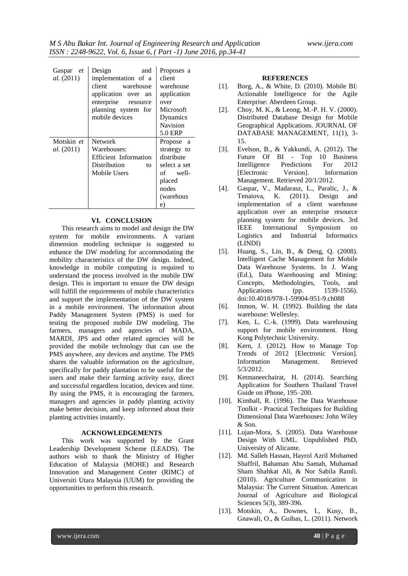| Gaspar et<br><i>al.</i> (2011)  | Design<br>and<br>implementation of a<br>client warehouse<br>application over an<br>enterprise resource<br>planning system for<br>mobile devices | Proposes a<br>client<br>warehouse<br>application<br>over<br>Microsoft<br>Dynamics<br>Navision<br>5.0 ERP |
|---------------------------------|-------------------------------------------------------------------------------------------------------------------------------------------------|----------------------------------------------------------------------------------------------------------|
| Motskin et<br><i>al.</i> (2011) | <b>Network</b><br>Warehouses:<br><b>Efficient</b> Information<br>Distribution<br>to<br>Mobile Users                                             | Propose a<br>strategy to<br>distribute<br>select a set<br>of well-<br>placed<br>nodes<br>(warehous<br>e) |

#### **VI. CONCLUSION**

This research aims to model and design the DW system for mobile environments. A variant dimension modeling technique is suggested to enhance the DW modeling for accommodating the mobility characteristics of the DW design. Indeed, knowledge in mobile computing is required to understand the process involved in the mobile DW design. This is important to ensure the DW design will fulfill the requirements of mobile characteristics and support the implementation of the DW system in a mobile environment. The information about Paddy Management System (PMS) is used for testing the proposed mobile DW modeling. The farmers, managers and agencies of MADA, MARDI, JPS and other related agencies will be provided the mobile technology that can use the PMS anywhere, any devices and anytime. The PMS shares the valuable information on the agriculture, specifically for paddy plantation to be useful for the users and make their farming activity easy, direct and successful regardless location, devices and time. By using the PMS, it is encouraging the farmers, managers and agencies in paddy planting activity make better decision, and keep informed about their planting activities instantly.

#### **ACKNOWLEDGEMENTS**

This work was supported by the Grant Leadership Development Scheme (LEADS). The authors wish to thank the Ministry of Higher Education of Malaysia (MOHE) and Research Innovation and Management Center (RIMC) of Universiti Utara Malaysia (UUM) for providing the opportunities to perform this research.

#### **REFERENCES**

- [1]. Borg, A., & White, D. (2010). Mobile BI: Actionable Intelligence for the Agile Enterprise: Aberdeen Group.
- [2]. Choy, M. K., & Leong, M.-P. H. V. (2000). Distributed Database Design for Mobile Geographical Applications. JOURNAL OF DATABASE MANAGEMENT, 11(1), 3- 15.
- [3]. Evelson, B., & Yakkundi, A. (2012). The Future Of BI - Top 10 Business Intelligence Predictions For 2012 [Electronic Version]. Information Management. Retrieved 20/1/2012.
- [4]. Gaspar, V., Madarasz, L., Paralic, J., & Tenaiova, K. (2011). Design and implementation of a client warehouse application over an enterprise resource planning system for mobile devices. 3rd IEEE International Symposium on Logistics and Industrial Informatics (LINDI)
- [5]. Huang, S., Lin, B., & Deng, Q. (2008). Intelligent Cache Management for Mobile Data Warehouse Systems. In J. Wang (Ed.), Data Warehousing and Mining: Concepts, Methodologies, Tools, and Applications (pp. 1539-1556). doi:10.4018/978-1-59904-951-9.ch088
- [6]. Inmon, W. H. (1992). Building the data warehouse: Wellesley.
- [7]. Ken, L. C.-k. (1999). Data warehousing support for mobile environment. Hong Kong Polytechnic University.
- [8]. Kern, J. (2012). How to Manage Top Trends of 2012 [Electronic Version]. Information Management. Retrieved 5/3/2012.
- [9]. Ketmaneechairat, H. (2014). Searching Application for Southern Thailand Travel Guide on iPhone, 195–200.
- [10]. Kimball, R. (1996). The Data Warehouse Toolkit - Practical Techniques for Building Dimensional Data Warehouses: John Wiley & Son.
- [11]. Lujan-Mora, S. (2005). Data Warehouse Design With UML. Unpublished PhD, University of Alicante.
- [12]. Md. Salleh Hassan, Hayrol Azril Mohamed Shaffril, Bahaman Abu Samah, Muhamad Sham Shahkat Ali, & Nor Sabila Ramli. (2010). Agriculture Communication in Malaysia: The Current Situation. American Journal of Agriculture and Biological Sciences 5(3), 389-396.
- [13]. Motskin, A., Downes, I., Kusy, B., Gnawali, O., & Guibas, L. (2011). Network